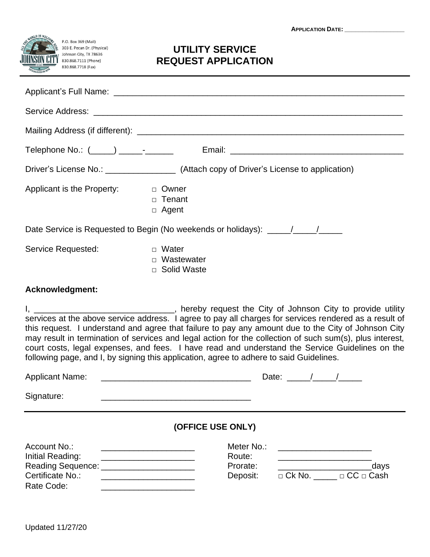**APPLICATION DATE: \_\_\_\_\_\_\_\_\_\_\_\_\_\_\_\_\_**



## **UTILITY SERVICE REQUEST APPLICATION**

|                                                                                  | Driver's License No.: ___________________ (Attach copy of Driver's License to application) |  |  |  |
|----------------------------------------------------------------------------------|--------------------------------------------------------------------------------------------|--|--|--|
| Applicant is the Property:                                                       | <sub>D</sub> Owner<br>$\Box$ Tenant<br>□ Agent                                             |  |  |  |
| Date Service is Requested to Begin (No weekends or holidays): ____/___/____/____ |                                                                                            |  |  |  |
| Service Requested:                                                               | □ Water<br>□ Wastewater<br>□ Solid Waste                                                   |  |  |  |
|                                                                                  |                                                                                            |  |  |  |

## **Acknowledgment:**

I, \_\_\_\_\_\_\_\_\_\_\_\_\_\_\_\_\_\_\_\_\_\_\_\_\_\_\_\_\_\_, hereby request the City of Johnson City to provide utility services at the above service address. I agree to pay all charges for services rendered as a result of this request. I understand and agree that failure to pay any amount due to the City of Johnson City may result in termination of services and legal action for the collection of such sum(s), plus interest, court costs, legal expenses, and fees. I have read and understand the Service Guidelines on the following page, and I, by signing this application, agree to adhere to said Guidelines.

| <b>Applicant Name:</b>           |                                  | Date:         |                       |  |
|----------------------------------|----------------------------------|---------------|-----------------------|--|
| Signature:                       |                                  |               |                       |  |
|                                  | (OFFICE USE ONLY)                |               |                       |  |
| Account No.:<br>Initial Reading: | Meter No.:<br>Route:<br>Prorate: |               | days                  |  |
| Certificate No.:                 | Deposit:                         | $\Box$ Ck No. | $\Box$ CC $\Box$ Cash |  |

Rate Code: